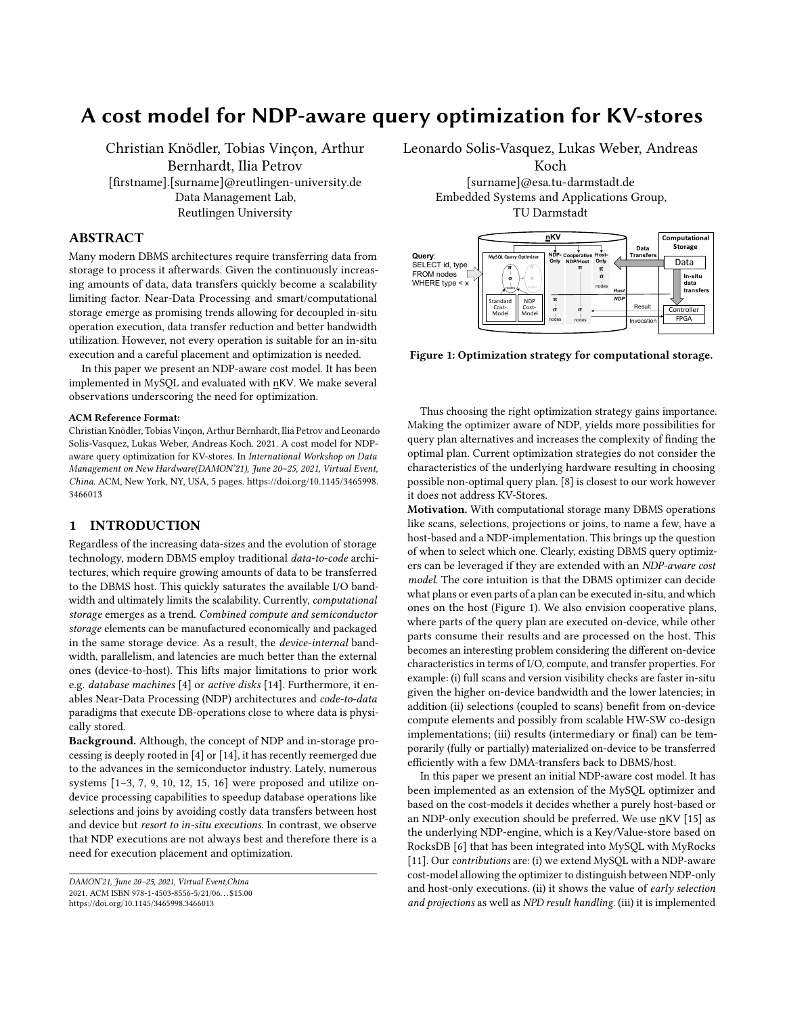# A cost model for NDP-aware query optimization for KV-stores

Christian Knödler, Tobias Vinçon, Arthur Bernhardt, Ilia Petrov [firstname].[surname]@reutlingen-university.de Data Management Lab, Reutlingen University

# ABSTRACT

Many modern DBMS architectures require transferring data from storage to process it afterwards. Given the continuously increasing amounts of data, data transfers quickly become a scalability limiting factor. Near-Data Processing and smart/computational storage emerge as promising trends allowing for decoupled in-situ operation execution, data transfer reduction and better bandwidth utilization. However, not every operation is suitable for an in-situ execution and a careful placement and optimization is needed.

In this paper we present an NDP-aware cost model. It has been implemented in MySQL and evaluated with nKV. We make several observations underscoring the need for optimization.

## ACM Reference Format:

Christian Knödler, Tobias Vinçon, Arthur Bernhardt, Ilia Petrov and Leonardo Solis-Vasquez, Lukas Weber, Andreas Koch. 2021. A cost model for NDPaware query optimization for KV-stores. In International Workshop on Data Management on New Hardware(DAMON'21), June 20–25, 2021, Virtual Event, China. ACM, New York, NY, USA, [5](#page-4-0) pages. [https://doi.org/10.1145/3465998.](https://doi.org/10.1145/3465998.3466013) [3466013](https://doi.org/10.1145/3465998.3466013)

# 1 INTRODUCTION

Regardless of the increasing data-sizes and the evolution of storage technology, modern DBMS employ traditional data-to-code architectures, which require growing amounts of data to be transferred to the DBMS host. This quickly saturates the available I/O bandwidth and ultimately limits the scalability. Currently, computational storage emerges as a trend. Combined compute and semiconductor storage elements can be manufactured economically and packaged in the same storage device. As a result, the device-internal bandwidth, parallelism, and latencies are much better than the external ones (device-to-host). This lifts major limitations to prior work e.g. database machines [\[4\]](#page-4-1) or active disks [\[14\]](#page-4-2). Furthermore, it enables Near-Data Processing (NDP) architectures and code-to-data paradigms that execute DB-operations close to where data is physically stored.

Background. Although, the concept of NDP and in-storage processing is deeply rooted in [\[4\]](#page-4-1) or [\[14\]](#page-4-2), it has recently reemerged due to the advances in the semiconductor industry. Lately, numerous systems [\[1–](#page-4-3)[3,](#page-4-4) [7,](#page-4-5) [9,](#page-4-6) [10,](#page-4-7) [12,](#page-4-8) [15,](#page-4-9) [16\]](#page-4-10) were proposed and utilize ondevice processing capabilities to speedup database operations like selections and joins by avoiding costly data transfers between host and device but resort to in-situ executions. In contrast, we observe that NDP executions are not always best and therefore there is a need for execution placement and optimization.

Leonardo Solis-Vasquez, Lukas Weber, Andreas

Koch [surname]@esa.tu-darmstadt.de Embedded Systems and Applications Group, TU Darmstadt

<span id="page-0-0"></span>

Figure 1: Optimization strategy for computational storage.

Thus choosing the right optimization strategy gains importance. Making the optimizer aware of NDP, yields more possibilities for query plan alternatives and increases the complexity of finding the optimal plan. Current optimization strategies do not consider the characteristics of the underlying hardware resulting in choosing possible non-optimal query plan. [\[8\]](#page-4-11) is closest to our work however it does not address KV-Stores.

Motivation. With computational storage many DBMS operations like scans, selections, projections or joins, to name a few, have a host-based and a NDP-implementation. This brings up the question of when to select which one. Clearly, existing DBMS query optimizers can be leveraged if they are extended with an NDP-aware cost model. The core intuition is that the DBMS optimizer can decide what plans or even parts of a plan can be executed in-situ, and which ones on the host (Figure [1\)](#page-0-0). We also envision cooperative plans, where parts of the query plan are executed on-device, while other parts consume their results and are processed on the host. This becomes an interesting problem considering the different on-device characteristics in terms of I/O, compute, and transfer properties. For example: (i) full scans and version visibility checks are faster in-situ given the higher on-device bandwidth and the lower latencies; in addition (ii) selections (coupled to scans) benefit from on-device compute elements and possibly from scalable HW-SW co-design implementations; (iii) results (intermediary or final) can be temporarily (fully or partially) materialized on-device to be transferred efficiently with a few DMA-transfers back to DBMS/host.

In this paper we present an initial NDP-aware cost model. It has been implemented as an extension of the MySQL optimizer and based on the cost-models it decides whether a purely host-based or an NDP-only execution should be preferred. We use nKV [\[15\]](#page-4-9) as the underlying NDP-engine, which is a Key/Value-store based on RocksDB [\[6\]](#page-4-12) that has been integrated into MySQL with MyRocks [\[11\]](#page-4-13). Our contributions are: (i) we extend MySQL with a NDP-aware cost-model allowing the optimizer to distinguish between NDP-only and host-only executions. (ii) it shows the value of early selection and projections as well as NPD result handling. (iii) it is implemented

DAMON'21, June 20–25, 2021, Virtual Event,China 2021. ACM ISBN 978-1-4503-8556-5/21/06. . . \$15.00 <https://doi.org/10.1145/3465998.3466013>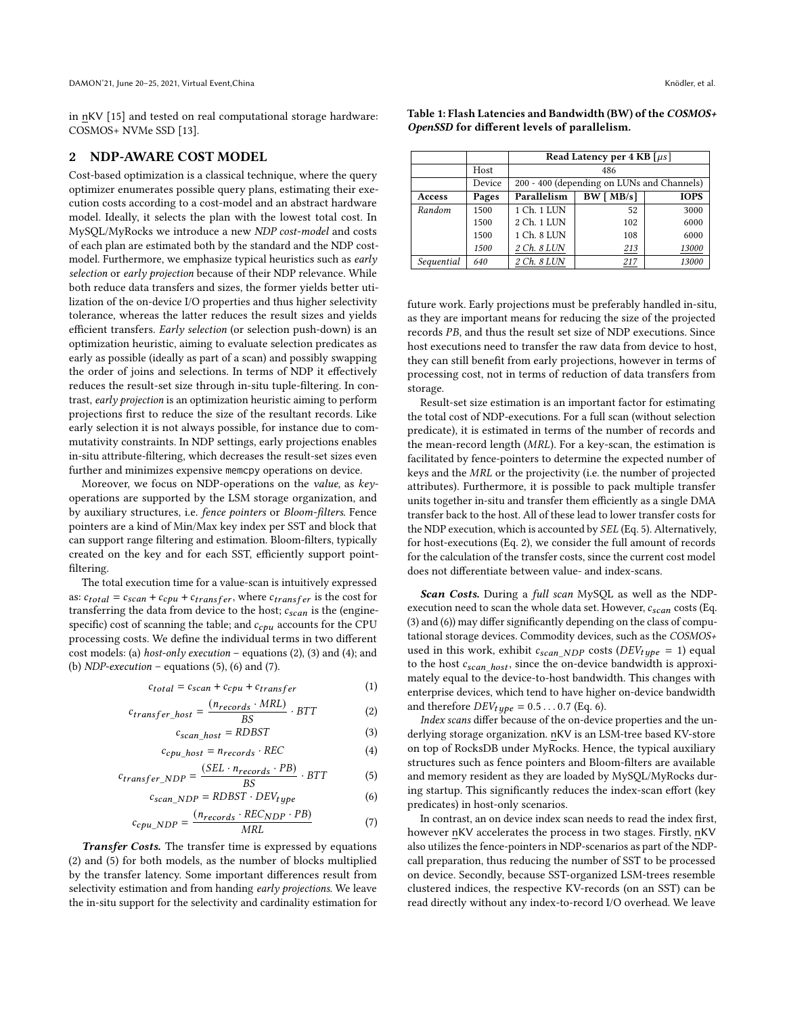in nKV [\[15\]](#page-4-9) and tested on real computational storage hardware: COSMOS+ NVMe SSD [\[13\]](#page-4-14).

## 2 NDP-AWARE COST MODEL

Cost-based optimization is a classical technique, where the query optimizer enumerates possible query plans, estimating their execution costs according to a cost-model and an abstract hardware model. Ideally, it selects the plan with the lowest total cost. In MySQL/MyRocks we introduce a new NDP cost-model and costs of each plan are estimated both by the standard and the NDP costmodel. Furthermore, we emphasize typical heuristics such as early selection or early projection because of their NDP relevance. While both reduce data transfers and sizes, the former yields better utilization of the on-device I/O properties and thus higher selectivity tolerance, whereas the latter reduces the result sizes and yields efficient transfers. Early selection (or selection push-down) is an optimization heuristic, aiming to evaluate selection predicates as early as possible (ideally as part of a scan) and possibly swapping the order of joins and selections. In terms of NDP it effectively reduces the result-set size through in-situ tuple-filtering. In contrast, early projection is an optimization heuristic aiming to perform projections first to reduce the size of the resultant records. Like early selection it is not always possible, for instance due to commutativity constraints. In NDP settings, early projections enables in-situ attribute-filtering, which decreases the result-set sizes even further and minimizes expensive memcpy operations on device.

Moreover, we focus on NDP-operations on the value, as keyoperations are supported by the LSM storage organization, and by auxiliary structures, i.e. fence pointers or Bloom-filters. Fence pointers are a kind of Min/Max key index per SST and block that can support range filtering and estimation. Bloom-filters, typically created on the key and for each SST, efficiently support pointfiltering.

The total execution time for a value-scan is intuitively expressed as:  $c_{total} = c_{scan} + c_{cpu} + c_{transfer}$ , where  $c_{transfer}$  is the cost for transferring the data from device to the host;  $c_{scan}$  is the (enginespecific) cost of scanning the table; and  $c_{cpu}$  accounts for the CPU processing costs. We define the individual terms in two different cost models: (a) host-only execution – equations [\(2\)](#page-1-0), [\(3\)](#page-1-1) and [\(4\)](#page-1-2); and (b)  $NDP\text{-}execution$  – equations [\(5\)](#page-1-3), [\(6\)](#page-1-4) and [\(7\)](#page-1-5).

$$
c_{total} = c_{scan} + c_{cpu} + c_{transfer}
$$
 (1)

$$
c_{transfer\_host} = \frac{(n_{records} \cdot MRI)}{BS} \cdot BTT \tag{2}
$$

$$
c_{scan\_host} = RDBST
$$
 (3)

$$
c_{cpu\_host} = n_{records} \cdot REC \tag{4}
$$

$$
c_{transfer\_NDP} = \frac{(SEL \cdot n_{records} \cdot PB)}{BS} \cdot BTT \tag{5}
$$

$$
c_{scan\_NDP} = RDBST \cdot DEV_{type}
$$
 (6)

$$
c_{cpu\_NDP} = \frac{(n_{records} \cdot REC_{NDP} \cdot PB)}{MRL} \tag{7}
$$

Transfer Costs. The transfer time is expressed by equations [\(2\)](#page-1-0) and [\(5\)](#page-1-3) for both models, as the number of blocks multiplied by the transfer latency. Some important differences result from selectivity estimation and from handing early projections. We leave the in-situ support for the selectivity and cardinality estimation for <span id="page-1-6"></span>Table 1: Flash Latencies and Bandwidth (BW) of the COSMOS+ OpenSSD for different levels of parallelism.

|            |        | Read Latency per 4 KB $\lceil \mu s \rceil$ |          |             |  |  |  |
|------------|--------|---------------------------------------------|----------|-------------|--|--|--|
|            | Host   | 486                                         |          |             |  |  |  |
|            | Device | 200 - 400 (depending on LUNs and Channels)  |          |             |  |  |  |
| Access     | Pages  | Parallelism                                 | BW[MB/s] | <b>IOPS</b> |  |  |  |
| Random     | 1500   | 1 Ch. 1 LUN                                 | 52       | 3000        |  |  |  |
|            | 1500   | 2 Ch. 1 LUN                                 | 102      | 6000        |  |  |  |
|            | 1500   | 1 Ch. 8 LUN                                 | 108      | 6000        |  |  |  |
|            | 1500   | 2 Ch. 8 LUN                                 | 213      | 13000       |  |  |  |
| Sequential | 640    | 2 Ch. 8 LUN                                 | 217      | 13000       |  |  |  |

future work. Early projections must be preferably handled in-situ, as they are important means for reducing the size of the projected records PB, and thus the result set size of NDP executions. Since host executions need to transfer the raw data from device to host, they can still benefit from early projections, however in terms of processing cost, not in terms of reduction of data transfers from storage.

Result-set size estimation is an important factor for estimating the total cost of NDP-executions. For a full scan (without selection predicate), it is estimated in terms of the number of records and the mean-record length ( $MRL$ ). For a key-scan, the estimation is facilitated by fence-pointers to determine the expected number of keys and the MRL or the projectivity (i.e. the number of projected attributes). Furthermore, it is possible to pack multiple transfer units together in-situ and transfer them efficiently as a single DMA transfer back to the host. All of these lead to lower transfer costs for the NDP execution, which is accounted by SEL (Eq. [5\)](#page-1-3). Alternatively, for host-executions (Eq. [2\)](#page-1-0), we consider the full amount of records for the calculation of the transfer costs, since the current cost model does not differentiate between value- and index-scans.

Scan Costs. During a full scan MySQL as well as the NDPexecution need to scan the whole data set. However,  $c_{scan}$  costs (Eq. [\(3\)](#page-1-1) and [\(6\)](#page-1-4)) may differ significantly depending on the class of computational storage devices. Commodity devices, such as the COSMOS+ used in this work, exhibit  $c_{scan NDP}$  costs ( $DEV_{type} = 1$ ) equal to the host  $c_{scan\_host}$ , since the on-device bandwidth is approximately equal to the device-to-host bandwidth. This changes with enterprise devices, which tend to have higher on-device bandwidth and therefore  $DEV_{tube} = 0.5 ... 0.7$  (Eq. [6\)](#page-1-4).

<span id="page-1-3"></span><span id="page-1-2"></span><span id="page-1-1"></span><span id="page-1-0"></span>Index scans differ because of the on-device properties and the underlying storage organization. nKV is an LSM-tree based KV-store on top of RocksDB under MyRocks. Hence, the typical auxiliary structures such as fence pointers and Bloom-filters are available and memory resident as they are loaded by MySQL/MyRocks during startup. This significantly reduces the index-scan effort (key predicates) in host-only scenarios.

<span id="page-1-5"></span><span id="page-1-4"></span>In contrast, an on device index scan needs to read the index first, however nKV accelerates the process in two stages. Firstly, nKV also utilizes the fence-pointers in NDP-scenarios as part of the NDPcall preparation, thus reducing the number of SST to be processed on device. Secondly, because SST-organized LSM-trees resemble clustered indices, the respective KV-records (on an SST) can be read directly without any index-to-record I/O overhead. We leave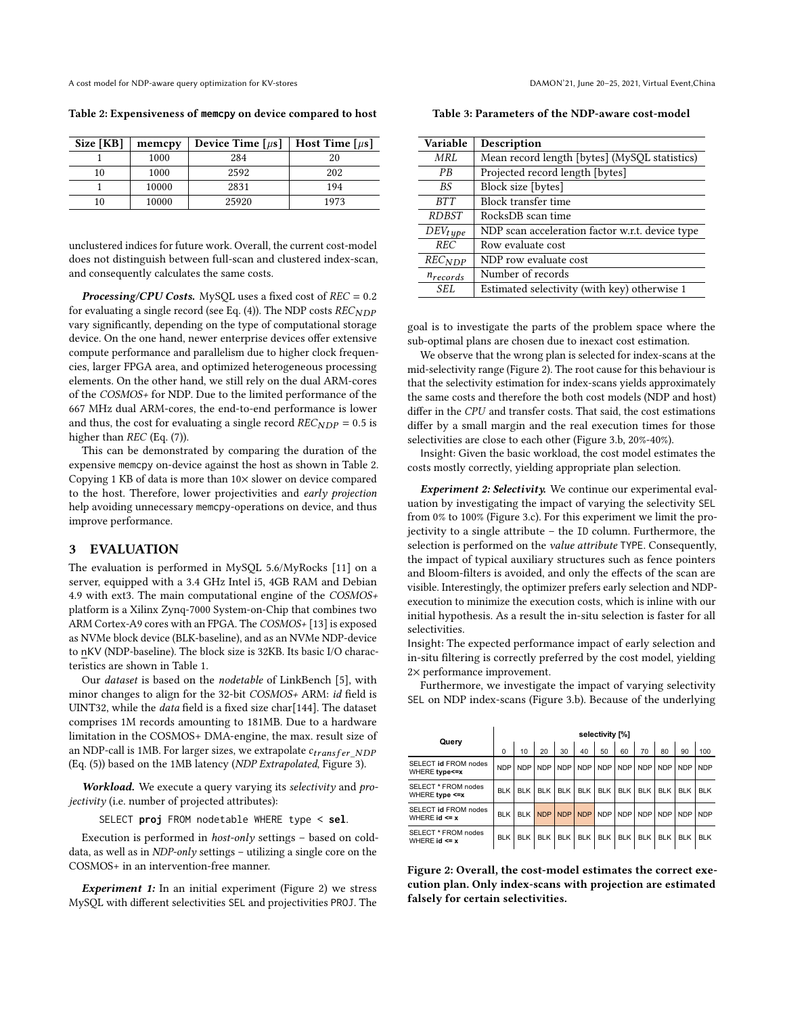A cost model for NDP-aware query optimization for KV-stores DAMON'21, June 20-25, 2021, Virtual Event,China

<span id="page-2-0"></span>Table 2: Expensiveness of **memcpy** on device compared to host

| Size [KB] | memcpy | Device Time $\lceil \mu s \rceil$ | Host Time $\lceil \mu s \rceil$ |
|-----------|--------|-----------------------------------|---------------------------------|
|           | 1000   | 284                               | 20                              |
| 10        | 1000   | 2592                              | 202                             |
|           | 10000  | 2831                              | 194                             |
| 10        | 10000  | 25920                             | 1973                            |

unclustered indices for future work. Overall, the current cost-model does not distinguish between full-scan and clustered index-scan, and consequently calculates the same costs.

**Processing/CPU Costs.** MySQL uses a fixed cost of  $REC = 0.2$ for evaluating a single record (see Eq. [\(4\)](#page-1-2)). The NDP costs  $REC_{NDP}$ vary significantly, depending on the type of computational storage device. On the one hand, newer enterprise devices offer extensive compute performance and parallelism due to higher clock frequencies, larger FPGA area, and optimized heterogeneous processing elements. On the other hand, we still rely on the dual ARM-cores of the COSMOS+ for NDP. Due to the limited performance of the 667 MHz dual ARM-cores, the end-to-end performance is lower and thus, the cost for evaluating a single record  $REC_{NDP} = 0.5$  is higher than  $REC$  (Eq. [\(7\)](#page-1-5)).

This can be demonstrated by comparing the duration of the expensive memcpy on-device against the host as shown in Table [2.](#page-2-0) Copying 1 KB of data is more than 10× slower on device compared to the host. Therefore, lower projectivities and early projection help avoiding unnecessary memcpy-operations on device, and thus improve performance.

## 3 EVALUATION

The evaluation is performed in MySQL 5.6/MyRocks [\[11\]](#page-4-13) on a server, equipped with a 3.4 GHz Intel i5, 4GB RAM and Debian 4.9 with ext3. The main computational engine of the COSMOS+ platform is a Xilinx Zynq-7000 System-on-Chip that combines two ARM Cortex-A9 cores with an FPGA. The COSMOS+ [\[13\]](#page-4-14) is exposed as NVMe block device (BLK-baseline), and as an NVMe NDP-device to nKV (NDP-baseline). The block size is 32KB. Its basic I/O characteristics are shown in Table [1.](#page-1-6)

Our dataset is based on the nodetable of LinkBench [\[5\]](#page-4-15), with minor changes to align for the 32-bit COSMOS+ ARM: id field is UINT32, while the data field is a fixed size char[144]. The dataset comprises 1M records amounting to 181MB. Due to a hardware limitation in the COSMOS+ DMA-engine, the max. result size of an NDP-call is 1MB. For larger sizes, we extrapolate  $c_{transfer \ NDP}$ (Eq. [\(5\)](#page-1-3)) based on the 1MB latency (NDP Extrapolated, Figure [3\)](#page-3-0).

Workload. We execute a query varying its selectivity and projectivity (i.e. number of projected attributes):

SELECT **proj** FROM nodetable WHERE type < **sel**.

Execution is performed in host-only settings – based on colddata, as well as in NDP-only settings – utilizing a single core on the COSMOS+ in an intervention-free manner.

**Experiment 1:** In an initial experiment (Figure [2\)](#page-2-1) we stress MySQL with different selectivities SEL and projectivities PROJ. The

| Table 3: Parameters of the NDP-aware cost-model |  |  |
|-------------------------------------------------|--|--|
|-------------------------------------------------|--|--|

| Variable      | Description                                     |
|---------------|-------------------------------------------------|
| MRL           | Mean record length [bytes] (MySQL statistics)   |
| PB            | Projected record length [bytes]                 |
| <b>BS</b>     | Block size [bytes]                              |
| <b>BTT</b>    | Block transfer time                             |
| <i>RDBST</i>  | RocksDB scan time                               |
| $DEV_{type}$  | NDP scan acceleration factor w.r.t. device type |
| <b>REC</b>    | Row evaluate cost                               |
| <b>RECNDP</b> | NDP row evaluate cost                           |
| $n_{records}$ | Number of records                               |
| SEL.          | Estimated selectivity (with key) otherwise 1    |

goal is to investigate the parts of the problem space where the sub-optimal plans are chosen due to inexact cost estimation.

We observe that the wrong plan is selected for index-scans at the mid-selectivity range (Figure [2\)](#page-2-1). The root cause for this behaviour is that the selectivity estimation for index-scans yields approximately the same costs and therefore the both cost models (NDP and host) differ in the CPU and transfer costs. That said, the cost estimations differ by a small margin and the real execution times for those selectivities are close to each other (Figure [3.](#page-3-0)b, 20%-40%).

Insight: Given the basic workload, the cost model estimates the costs mostly correctly, yielding appropriate plan selection.

Experiment 2: Selectivity. We continue our experimental evaluation by investigating the impact of varying the selectivity SEL from 0% to 100% (Figure [3.](#page-3-0)c). For this experiment we limit the projectivity to a single attribute – the ID column. Furthermore, the selection is performed on the value attribute TYPE. Consequently, the impact of typical auxiliary structures such as fence pointers and Bloom-filters is avoided, and only the effects of the scan are visible. Interestingly, the optimizer prefers early selection and NDPexecution to minimize the execution costs, which is inline with our initial hypothesis. As a result the in-situ selection is faster for all selectivities.

Insight: The expected performance impact of early selection and in-situ filtering is correctly preferred by the cost model, yielding 2× performance improvement.

Furthermore, we investigate the impact of varying selectivity SEL on NDP index-scans (Figure [3.](#page-3-0)b). Because of the underlying

<span id="page-2-1"></span>

| Query                                     | selectivity [%] |            |            |            |            |             |            |            |            |            |            |
|-------------------------------------------|-----------------|------------|------------|------------|------------|-------------|------------|------------|------------|------------|------------|
|                                           | $\Omega$        | 10         | 20         | 30         | 40         | 50          | 60         | 70         | 80         | 90         | 100        |
| SELECT id FROM nodes<br>WHERE type<=x     | <b>NDP</b>      |            | NDP NDP    | <b>NDP</b> |            | NDP NDP NDP |            | <b>NDP</b> | <b>NDP</b> | <b>NDP</b> | <b>NDP</b> |
| SELECT * FROM nodes<br>WHERE type <= x    | <b>BLK</b>      |            | BLK BLK    | <b>BLK</b> | BLK I      | <b>BLK</b>  | <b>BLK</b> | <b>BLK</b> | <b>BLK</b> | <b>BLK</b> | <b>BLK</b> |
| SELECT id FROM nodes<br>WHERE $id \leq x$ | <b>BLK</b>      |            | BLK NDP    | <b>NDP</b> | <b>NDP</b> | <b>NDP</b>  | NDP        | <b>NDP</b> | <b>NDP</b> | <b>NDP</b> | <b>NDP</b> |
| SELECT * FROM nodes<br>WHERE $id \leq x$  | <b>BLK</b>      | <b>BLK</b> | <b>BLK</b> | <b>BLK</b> | <b>BLK</b> | <b>BLK</b>  | <b>BLK</b> | <b>BLK</b> | <b>BLK</b> | <b>BLK</b> | <b>BLK</b> |

Figure 2: Overall, the cost-model estimates the correct execution plan. Only index-scans with projection are estimated falsely for certain selectivities.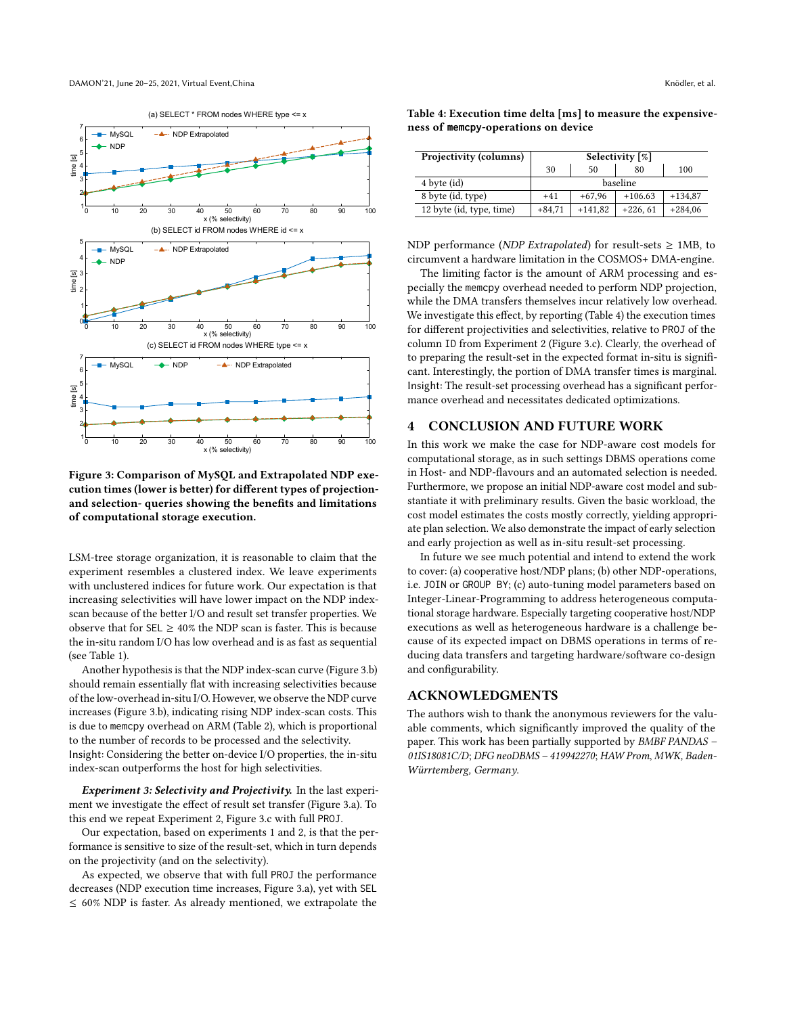<span id="page-3-0"></span>

(a) SELECT \* FROM nodes WHERE type <= x

Figure 3: Comparison of MySQL and Extrapolated NDP execution times (lower is better) for different types of projectionand selection- queries showing the benefits and limitations of computational storage execution.

LSM-tree storage organization, it is reasonable to claim that the experiment resembles a clustered index. We leave experiments with unclustered indices for future work. Our expectation is that increasing selectivities will have lower impact on the NDP indexscan because of the better I/O and result set transfer properties. We observe that for SEL  $\geq 40\%$  the NDP scan is faster. This is because the in-situ random I/O has low overhead and is as fast as sequential (see Table [1\)](#page-1-6).

Another hypothesis is that the NDP index-scan curve (Figure [3.](#page-3-0)b) should remain essentially flat with increasing selectivities because of the low-overhead in-situ I/O. However, we observe the NDP curve increases (Figure [3.](#page-3-0)b), indicating rising NDP index-scan costs. This is due to memcpy overhead on ARM (Table [2\)](#page-2-0), which is proportional to the number of records to be processed and the selectivity. Insight: Considering the better on-device I/O properties, the in-situ index-scan outperforms the host for high selectivities.

Experiment 3: Selectivity and Projectivity. In the last experiment we investigate the effect of result set transfer (Figure [3.](#page-3-0)a). To this end we repeat Experiment 2, Figure [3.](#page-3-0)c with full PROJ.

Our expectation, based on experiments 1 and 2, is that the performance is sensitive to size of the result-set, which in turn depends on the projectivity (and on the selectivity).

As expected, we observe that with full PROJ the performance decreases (NDP execution time increases, Figure [3.](#page-3-0)a), yet with SEL ≤ 60% NDP is faster. As already mentioned, we extrapolate the

| Projectivity (columns)   | Selectivity $\lceil \% \rceil$ |           |            |           |  |  |
|--------------------------|--------------------------------|-----------|------------|-----------|--|--|
|                          | 30                             | 50        | 80         | 100       |  |  |
| 4 byte (id)              | baseline                       |           |            |           |  |  |
| 8 byte (id, type)        | $+41$                          | $+67.96$  | $+106.63$  | $+134.87$ |  |  |
| 12 byte (id, type, time) | $+84,71$                       | $+141,82$ | $+226, 61$ | $+284,06$ |  |  |

<span id="page-3-1"></span>Table 4: Execution time delta [ms] to measure the expensiveness of **memcpy**-operations on device

NDP performance (NDP Extrapolated) for result-sets  $\geq$  1MB, to circumvent a hardware limitation in the COSMOS+ DMA-engine.

The limiting factor is the amount of ARM processing and especially the memcpy overhead needed to perform NDP projection, while the DMA transfers themselves incur relatively low overhead. We investigate this effect, by reporting (Table [4\)](#page-3-1) the execution times for different projectivities and selectivities, relative to PROJ of the column ID from Experiment 2 (Figure [3.](#page-3-0)c). Clearly, the overhead of to preparing the result-set in the expected format in-situ is significant. Interestingly, the portion of DMA transfer times is marginal. Insight: The result-set processing overhead has a significant performance overhead and necessitates dedicated optimizations.

## 4 CONCLUSION AND FUTURE WORK

In this work we make the case for NDP-aware cost models for computational storage, as in such settings DBMS operations come in Host- and NDP-flavours and an automated selection is needed. Furthermore, we propose an initial NDP-aware cost model and substantiate it with preliminary results. Given the basic workload, the cost model estimates the costs mostly correctly, yielding appropriate plan selection. We also demonstrate the impact of early selection and early projection as well as in-situ result-set processing.

In future we see much potential and intend to extend the work to cover: (a) cooperative host/NDP plans; (b) other NDP-operations, i.e. JOIN or GROUP BY; (c) auto-tuning model parameters based on Integer-Linear-Programming to address heterogeneous computational storage hardware. Especially targeting cooperative host/NDP executions as well as heterogeneous hardware is a challenge because of its expected impact on DBMS operations in terms of reducing data transfers and targeting hardware/software co-design and configurability.

## ACKNOWLEDGMENTS

The authors wish to thank the anonymous reviewers for the valuable comments, which significantly improved the quality of the paper. This work has been partially supported by BMBF PANDAS – 01IS18081C/D; DFG neoDBMS – 419942270; HAW Prom, MWK, Baden-Würrtemberg, Germany.